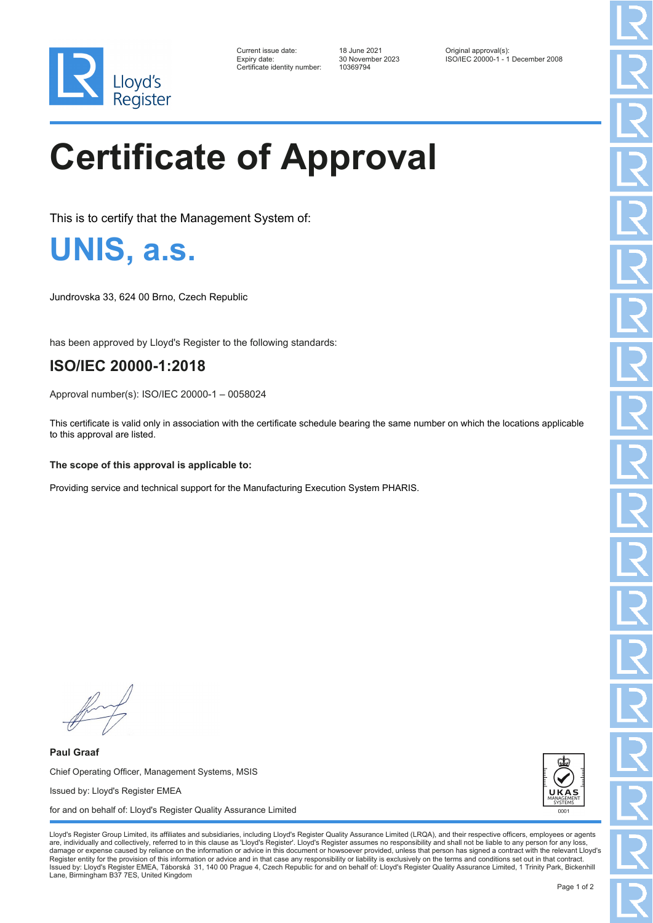

| Current issue date:          |
|------------------------------|
| Expiry date:                 |
| Certificate identity number: |

Certificate identity number: 10369794

Current issue date: 18 June 2021 Original approval(s): Expiry date: 30 November 2023 ISO/IEC 20000-1 - 1 December 2008

# **Certificate of Approval**

This is to certify that the Management System of:

**UNIS, a.s.**

Jundrovska 33, 624 00 Brno, Czech Republic

has been approved by Lloyd's Register to the following standards:

### **ISO/IEC 20000-1:2018**

Approval number(s): ISO/IEC 20000-1 – 0058024

This certificate is valid only in association with the certificate schedule bearing the same number on which the locations applicable to this approval are listed.

#### **The scope of this approval is applicable to:**

Providing service and technical support for the Manufacturing Execution System PHARIS.

**Paul Graaf** Chief Operating Officer, Management Systems, MSIS Issued by: Lloyd's Register EMEA for and on behalf of: Lloyd's Register Quality Assurance Limited



Lloyd's Register Group Limited, its affiliates and subsidiaries, including Lloyd's Register Quality Assurance Limited (LRQA), and their respective officers, employees or agents are, individually and collectively, referred to in this clause as 'Lloyd's Register'. Lloyd's Register assumes no responsibility and shall not be liable to any person for any los damage or expense caused by reliance on the information or advice in this document or howsoever provided, unless that person has signed a contract with the relevant Lloyd's<br>Register entity for the provision of this informa Issued by: Lloyd's Register EMEA, Táborská 31, 140 00 Prague 4, Czech Republic for and on behalf of: Lloyd's Register Quality Assurance Limited, 1 Trinity Park, Bickenhill Lane, Birmingham B37 7ES, United Kingdom